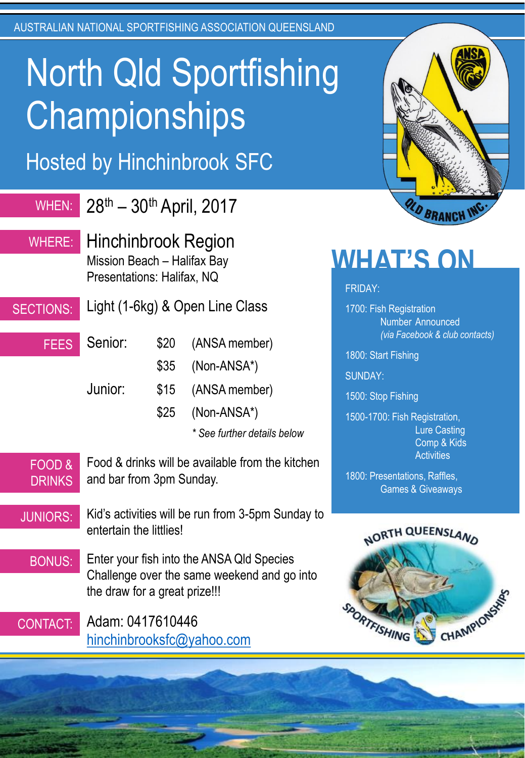AUSTRALIAN NATIONAL SPORTFISHING ASSOCIATION QUEENSLAND

# North Qld Sportfishing **Championships**

Hosted by Hinchinbrook SFC

| <b>WHEN:</b>           | 28th - 30th April, 2017                                                                                                                                                                                   |                                                                                                                             | <b>OLD BRAN</b>                                                                                                                                                    |
|------------------------|-----------------------------------------------------------------------------------------------------------------------------------------------------------------------------------------------------------|-----------------------------------------------------------------------------------------------------------------------------|--------------------------------------------------------------------------------------------------------------------------------------------------------------------|
| WHERE:                 | <b>Hinchinbrook Region</b><br>Mission Beach - Halifax Bay<br>Presentations: Halifax, NQ                                                                                                                   |                                                                                                                             | <b>WHAT'S ON</b><br><b>FRIDAY:</b>                                                                                                                                 |
| <b>SECTIONS:</b>       | Light (1-6kg) & Open Line Class                                                                                                                                                                           |                                                                                                                             | 1700: Fish Registration<br><b>Number Announced</b>                                                                                                                 |
| <b>FEES</b>            | Senior:<br>Junior:                                                                                                                                                                                        | \$20<br>(ANSA member)<br>\$35<br>(Non-ANSA*)<br>\$15<br>(ANSA member)<br>\$25<br>(Non-ANSA*)<br>* See further details below | (via Facebook & club contact<br>1800: Start Fishing<br><b>SUNDAY:</b><br>1500: Stop Fishing<br>1500-1700: Fish Registration,<br><b>Lure Casting</b><br>Comp & Kids |
| FOOD&<br><b>DRINKS</b> | Food & drinks will be available from the kitchen<br>and bar from 3pm Sunday.                                                                                                                              |                                                                                                                             | <b>Activities</b><br>1800: Presentations, Raffles,<br><b>Games &amp; Giveaways</b>                                                                                 |
| <b>JUNIORS:</b>        | Kid's activities will be run from 3-5pm Sunday to<br>entertain the littlies!<br>Enter your fish into the ANSA Qld Species<br>Challenge over the same weekend and go into<br>the draw for a great prize!!! |                                                                                                                             | NORTH QUEENSLAND                                                                                                                                                   |
| <b>BONUS:</b>          |                                                                                                                                                                                                           |                                                                                                                             |                                                                                                                                                                    |
| <b>CONTACT:</b>        | Adam: 0417610446<br>hinchinbrooksfc@yahoo.com                                                                                                                                                             |                                                                                                                             | FISHING CHAMPIO<br>RTE                                                                                                                                             |
|                        |                                                                                                                                                                                                           |                                                                                                                             |                                                                                                                                                                    |



*(via Facebook & club contacts)*